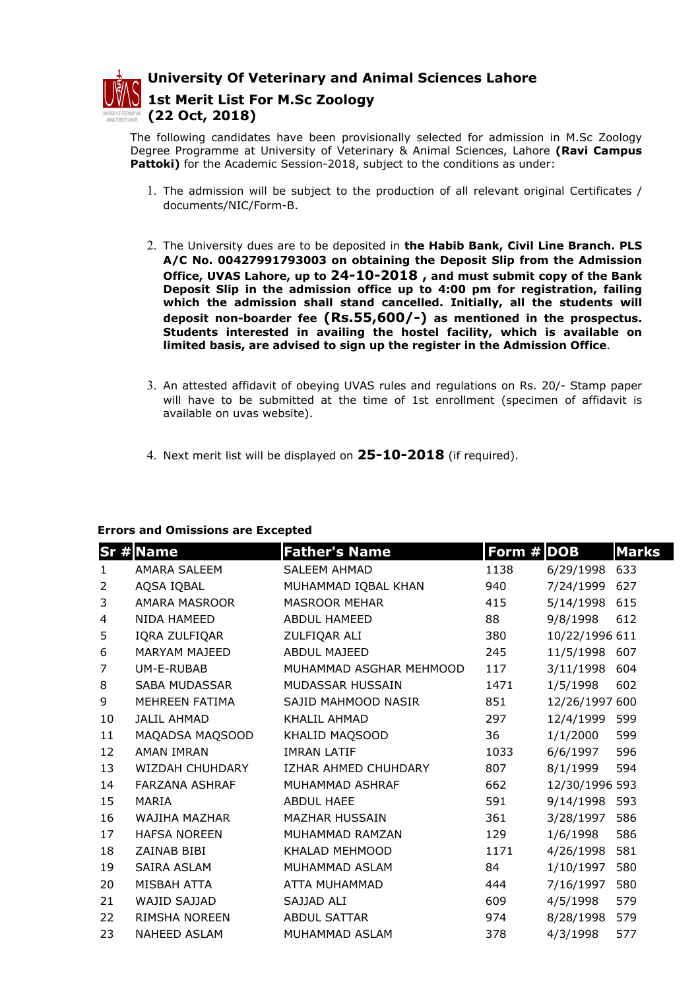

University Of Veterinary and Animal Sciences Lahore

1st Merit List For M.Sc Zoology (22 Oct, 2018)

The following candidates have been provisionally selected for admission in M.Sc Zoology Degree Programme at University of Veterinary & Animal Sciences, Lahore (Ravi Campus Pattoki) for the Academic Session-2018, subject to the conditions as under:

- 1. The admission will be subject to the production of all relevant original Certificates / documents/NIC/Form-B.
- 2. The University dues are to be deposited in the Habib Bank, Civil Line Branch. PLS A/C No. 00427991793003 on obtaining the Deposit Slip from the Admission Office, UVAS Lahore, up to 24-10-2018 , and must submit copy of the Bank Deposit Slip in the admission office up to 4:00 pm for registration, failing which the admission shall stand cancelled. Initially, all the students will deposit non-boarder fee (Rs.55,600/-) as mentioned in the prospectus. Students interested in availing the hostel facility, which is available on limited basis, are advised to sign up the register in the Admission Office.
- 3. An attested affidavit of obeying UVAS rules and regulations on Rs. 20/- Stamp paper will have to be submitted at the time of 1st enrollment (specimen of affidavit is available on uvas website).
- 4. Next merit list will be displayed on  $25-10-2018$  (if required).

## Errors and Omissions are Excepted

|                | <b>Sr # Name</b>      | <b>Father's Name</b>    | Form # DOB |                | <b>Marks</b> |
|----------------|-----------------------|-------------------------|------------|----------------|--------------|
| $\mathbf{1}$   | AMARA SALEEM          | <b>SALEEM AHMAD</b>     | 1138       | 6/29/1998      | 633          |
| $\overline{2}$ | AQSA IQBAL            | MUHAMMAD IQBAL KHAN     | 940        | 7/24/1999      | 627          |
| 3              | AMARA MASROOR         | <b>MASROOR MEHAR</b>    | 415        | 5/14/1998      | 615          |
| 4              | <b>NIDA HAMEED</b>    | <b>ABDUL HAMEED</b>     | 88         | 9/8/1998       | 612          |
| 5              | IQRA ZULFIQAR         | ZULFIQAR ALI            | 380        | 10/22/1996 611 |              |
| 6              | MARYAM MAJEED         | ABDUL MAJEED            | 245        | 11/5/1998      | 607          |
| $\overline{7}$ | UM-E-RUBAB            | MUHAMMAD ASGHAR MEHMOOD | 117        | 3/11/1998      | 604          |
| 8              | SABA MUDASSAR         | MUDASSAR HUSSAIN        | 1471       | 1/5/1998       | 602          |
| 9              | MEHREEN FATIMA        | SAJID MAHMOOD NASIR     | 851        | 12/26/1997 600 |              |
| 10             | <b>JALIL AHMAD</b>    | KHALIL AHMAD            | 297        | 12/4/1999      | 599          |
| 11             | MAQADSA MAQSOOD       | KHALID MAQSOOD          | 36         | 1/1/2000       | 599          |
| 12             | <b>AMAN IMRAN</b>     | <b>IMRAN LATIF</b>      | 1033       | 6/6/1997       | 596          |
| 13             | WIZDAH CHUHDARY       | IZHAR AHMED CHUHDARY    | 807        | 8/1/1999       | 594          |
| 14             | <b>FARZANA ASHRAF</b> | MUHAMMAD ASHRAF         | 662        | 12/30/1996 593 |              |
| 15             | MARIA                 | <b>ABDUL HAEE</b>       | 591        | 9/14/1998      | 593          |
| 16             | WAJIHA MAZHAR         | <b>MAZHAR HUSSAIN</b>   | 361        | 3/28/1997      | 586          |
| 17             | <b>HAFSA NOREEN</b>   | MUHAMMAD RAMZAN         | 129        | 1/6/1998       | 586          |
| 18             | ZAINAB BIBI           | KHALAD MEHMOOD          | 1171       | 4/26/1998      | 581          |
| 19             | SAIRA ASLAM           | MUHAMMAD ASLAM          | 84         | 1/10/1997      | 580          |
| 20             | MISBAH ATTA           | ATTA MUHAMMAD           | 444        | 7/16/1997      | 580          |
| 21             | WAJID SAJJAD          | SAJJAD ALI              | 609        | 4/5/1998       | 579          |
| 22             | RIMSHA NOREEN         | <b>ABDUL SATTAR</b>     | 974        | 8/28/1998      | 579          |
| 23             | <b>NAHEED ASLAM</b>   | MUHAMMAD ASLAM          | 378        | 4/3/1998       | 577          |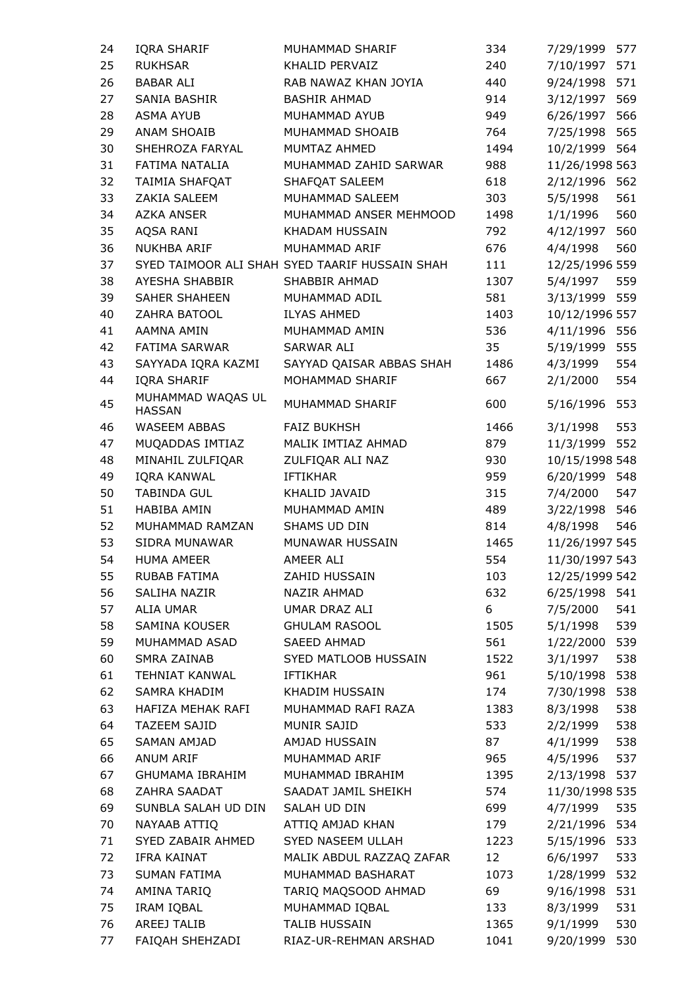| 24 | IQRA SHARIF          | MUHAMMAD SHARIF                                | 334  | 577<br>7/29/1999 |
|----|----------------------|------------------------------------------------|------|------------------|
| 25 | <b>RUKHSAR</b>       | KHALID PERVAIZ                                 | 240  | 7/10/1997<br>571 |
| 26 | <b>BABAR ALI</b>     | RAB NAWAZ KHAN JOYIA                           | 440  | 9/24/1998<br>571 |
| 27 | SANIA BASHIR         | <b>BASHIR AHMAD</b>                            | 914  | 569<br>3/12/1997 |
| 28 | <b>ASMA AYUB</b>     | MUHAMMAD AYUB                                  | 949  | 6/26/1997<br>566 |
| 29 | ANAM SHOAIB          | MUHAMMAD SHOAIB                                | 764  | 7/25/1998<br>565 |
| 30 | SHEHROZA FARYAL      | MUMTAZ AHMED                                   | 1494 | 10/2/1999<br>564 |
| 31 | FATIMA NATALIA       | MUHAMMAD ZAHID SARWAR                          | 988  | 11/26/1998 563   |
| 32 | TAIMIA SHAFQAT       | SHAFQAT SALEEM                                 | 618  | 2/12/1996<br>562 |
| 33 | ZAKIA SALEEM         | MUHAMMAD SALEEM                                | 303  | 561<br>5/5/1998  |
| 34 | AZKA ANSER           | MUHAMMAD ANSER MEHMOOD                         | 1498 | 560<br>1/1/1996  |
| 35 | AQSA RANI            | KHADAM HUSSAIN                                 | 792  | 560<br>4/12/1997 |
| 36 | NUKHBA ARIF          | MUHAMMAD ARIF                                  | 676  | 560<br>4/4/1998  |
| 37 |                      | SYED TAIMOOR ALI SHAH SYED TAARIF HUSSAIN SHAH | 111  | 12/25/1996 559   |
| 38 | AYESHA SHABBIR       | SHABBIR AHMAD                                  | 1307 | 559<br>5/4/1997  |
| 39 | SAHER SHAHEEN        | MUHAMMAD ADIL                                  | 581  | 3/13/1999<br>559 |
| 40 | ZAHRA BATOOL         | <b>ILYAS AHMED</b>                             | 1403 | 10/12/1996 557   |
| 41 | AAMNA AMIN           | MUHAMMAD AMIN                                  | 536  | 4/11/1996 556    |
| 42 | <b>FATIMA SARWAR</b> | SARWAR ALI                                     | 35   | 5/19/1999<br>555 |
| 43 | SAYYADA IQRA KAZMI   | SAYYAD QAISAR ABBAS SHAH                       | 1486 | 554<br>4/3/1999  |
| 44 | IQRA SHARIF          | MOHAMMAD SHARIF                                | 667  | 554<br>2/1/2000  |
| 45 | MUHAMMAD WAQAS UL    | MUHAMMAD SHARIF                                | 600  | 553<br>5/16/1996 |
|    | <b>HASSAN</b>        |                                                |      |                  |
| 46 | <b>WASEEM ABBAS</b>  | <b>FAIZ BUKHSH</b>                             | 1466 | 553<br>3/1/1998  |
| 47 | MUQADDAS IMTIAZ      | MALIK IMTIAZ AHMAD                             | 879  | 552<br>11/3/1999 |
| 48 | MINAHIL ZULFIQAR     | ZULFIQAR ALI NAZ                               | 930  | 10/15/1998 548   |
| 49 | IQRA KANWAL          | <b>IFTIKHAR</b>                                | 959  | 6/20/1999 548    |
| 50 | TABINDA GUL          | KHALID JAVAID                                  | 315  | 7/4/2000<br>547  |
| 51 | HABIBA AMIN          | MUHAMMAD AMIN                                  | 489  | 3/22/1998<br>546 |
| 52 | MUHAMMAD RAMZAN      | SHAMS UD DIN                                   | 814  | 546<br>4/8/1998  |
| 53 | SIDRA MUNAWAR        | MUNAWAR HUSSAIN                                | 1465 | 11/26/1997 545   |
| 54 | <b>HUMA AMEER</b>    | AMEER ALI                                      | 554  | 11/30/1997 543   |
| 55 | RUBAB FATIMA         | ZAHID HUSSAIN                                  | 103  | 12/25/1999 542   |
| 56 | SALIHA NAZIR         | NAZIR AHMAD                                    | 632  | 6/25/1998<br>541 |
| 57 | ALIA UMAR            | UMAR DRAZ ALI                                  | 6    | 541<br>7/5/2000  |
| 58 | SAMINA KOUSER        | <b>GHULAM RASOOL</b>                           | 1505 | 539<br>5/1/1998  |
| 59 | MUHAMMAD ASAD        | SAEED AHMAD                                    | 561  | 1/22/2000<br>539 |
| 60 | <b>SMRA ZAINAB</b>   | SYED MATLOOB HUSSAIN                           | 1522 | 538<br>3/1/1997  |
| 61 | TEHNIAT KANWAL       | <b>IFTIKHAR</b>                                | 961  | 538<br>5/10/1998 |
| 62 | SAMRA KHADIM         | KHADIM HUSSAIN                                 | 174  | 7/30/1998<br>538 |
| 63 | HAFIZA MEHAK RAFI    | MUHAMMAD RAFI RAZA                             | 1383 | 8/3/1998<br>538  |
| 64 | TAZEEM SAJID         | MUNIR SAJID                                    | 533  | 538<br>2/2/1999  |
| 65 | SAMAN AMJAD          | AMJAD HUSSAIN                                  | 87   | 538<br>4/1/1999  |
| 66 | ANUM ARIF            | MUHAMMAD ARIF                                  | 965  | 537<br>4/5/1996  |
| 67 | GHUMAMA IBRAHIM      | MUHAMMAD IBRAHIM                               | 1395 | 2/13/1998 537    |
| 68 | ZAHRA SAADAT         | SAADAT JAMIL SHEIKH                            | 574  | 11/30/1998 535   |
| 69 | SUNBLA SALAH UD DIN  | SALAH UD DIN                                   | 699  | 4/7/1999<br>535  |
| 70 | NAYAAB ATTIQ         | ATTIQ AMJAD KHAN                               | 179  | 534<br>2/21/1996 |
| 71 | SYED ZABAIR AHMED    | SYED NASEEM ULLAH                              | 1223 | 5/15/1996<br>533 |
| 72 | IFRA KAINAT          | MALIK ABDUL RAZZAQ ZAFAR                       | 12   | 533<br>6/6/1997  |
| 73 | SUMAN FATIMA         | MUHAMMAD BASHARAT                              | 1073 | 1/28/1999<br>532 |
| 74 | AMINA TARIQ          | TARIQ MAQSOOD AHMAD                            | 69   | 9/16/1998<br>531 |
| 75 | IRAM IQBAL           | MUHAMMAD IQBAL                                 | 133  | 531<br>8/3/1999  |
| 76 | AREEJ TALIB          | <b>TALIB HUSSAIN</b>                           | 1365 | 9/1/1999<br>530  |
| 77 | FAIQAH SHEHZADI      | RIAZ-UR-REHMAN ARSHAD                          | 1041 | 9/20/1999<br>530 |